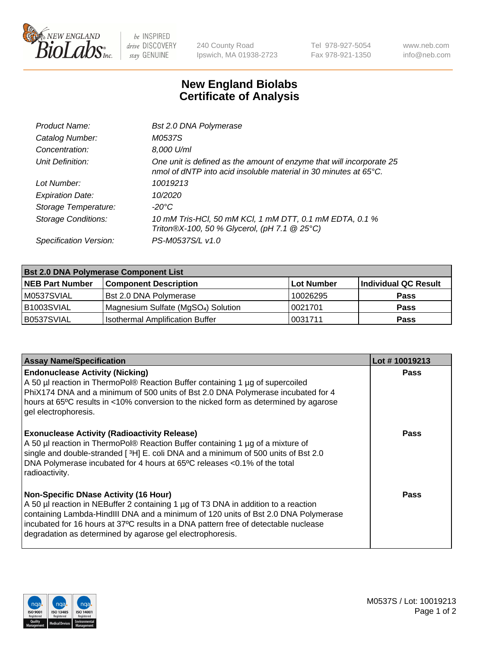

 $be$  INSPIRED drive DISCOVERY stay GENUINE

240 County Road Ipswich, MA 01938-2723 Tel 978-927-5054 Fax 978-921-1350 www.neb.com info@neb.com

## **New England Biolabs Certificate of Analysis**

| Product Name:              | <b>Bst 2.0 DNA Polymerase</b>                                                                                                            |
|----------------------------|------------------------------------------------------------------------------------------------------------------------------------------|
| Catalog Number:            | M0537S                                                                                                                                   |
| Concentration:             | 8,000 U/ml                                                                                                                               |
| Unit Definition:           | One unit is defined as the amount of enzyme that will incorporate 25<br>nmol of dNTP into acid insoluble material in 30 minutes at 65°C. |
| Lot Number:                | 10019213                                                                                                                                 |
| <b>Expiration Date:</b>    | 10/2020                                                                                                                                  |
| Storage Temperature:       | $-20^{\circ}$ C                                                                                                                          |
| <b>Storage Conditions:</b> | 10 mM Tris-HCl, 50 mM KCl, 1 mM DTT, 0.1 mM EDTA, 0.1 %<br>Triton®X-100, 50 % Glycerol, (pH 7.1 @ 25°C)                                  |
| Specification Version:     | PS-M0537S/L v1.0                                                                                                                         |

| <b>Bst 2.0 DNA Polymerase Component List</b> |                                                 |                   |                      |  |  |
|----------------------------------------------|-------------------------------------------------|-------------------|----------------------|--|--|
| <b>NEB Part Number</b>                       | <b>Component Description</b>                    | <b>Lot Number</b> | Individual QC Result |  |  |
| M0537SVIAL                                   | <b>Bst 2.0 DNA Polymerase</b>                   | 10026295          | <b>Pass</b>          |  |  |
| B1003SVIAL                                   | Magnesium Sulfate (MgSO <sub>4</sub> ) Solution | 10021701          | <b>Pass</b>          |  |  |
| B0537SVIAL                                   | <b>Isothermal Amplification Buffer</b>          | 10031711          | <b>Pass</b>          |  |  |

| <b>Assay Name/Specification</b>                                                                                                                                                                                                                                                                                                                                              | Lot #10019213 |
|------------------------------------------------------------------------------------------------------------------------------------------------------------------------------------------------------------------------------------------------------------------------------------------------------------------------------------------------------------------------------|---------------|
| <b>Endonuclease Activity (Nicking)</b><br>A 50 µl reaction in ThermoPol® Reaction Buffer containing 1 µg of supercoiled<br>PhiX174 DNA and a minimum of 500 units of Bst 2.0 DNA Polymerase incubated for 4<br>hours at 65°C results in <10% conversion to the nicked form as determined by agarose<br>gel electrophoresis.                                                  | <b>Pass</b>   |
| <b>Exonuclease Activity (Radioactivity Release)</b><br>A 50 µl reaction in ThermoPol® Reaction Buffer containing 1 µg of a mixture of<br>single and double-stranded [3H] E. coli DNA and a minimum of 500 units of Bst 2.0<br>DNA Polymerase incubated for 4 hours at 65°C releases <0.1% of the total<br>radioactivity.                                                     | Pass          |
| <b>Non-Specific DNase Activity (16 Hour)</b><br>A 50 µl reaction in NEBuffer 2 containing 1 µg of T3 DNA in addition to a reaction<br>containing Lambda-HindIII DNA and a minimum of 120 units of Bst 2.0 DNA Polymerase<br>incubated for 16 hours at 37°C results in a DNA pattern free of detectable nuclease<br>degradation as determined by agarose gel electrophoresis. | Pass          |